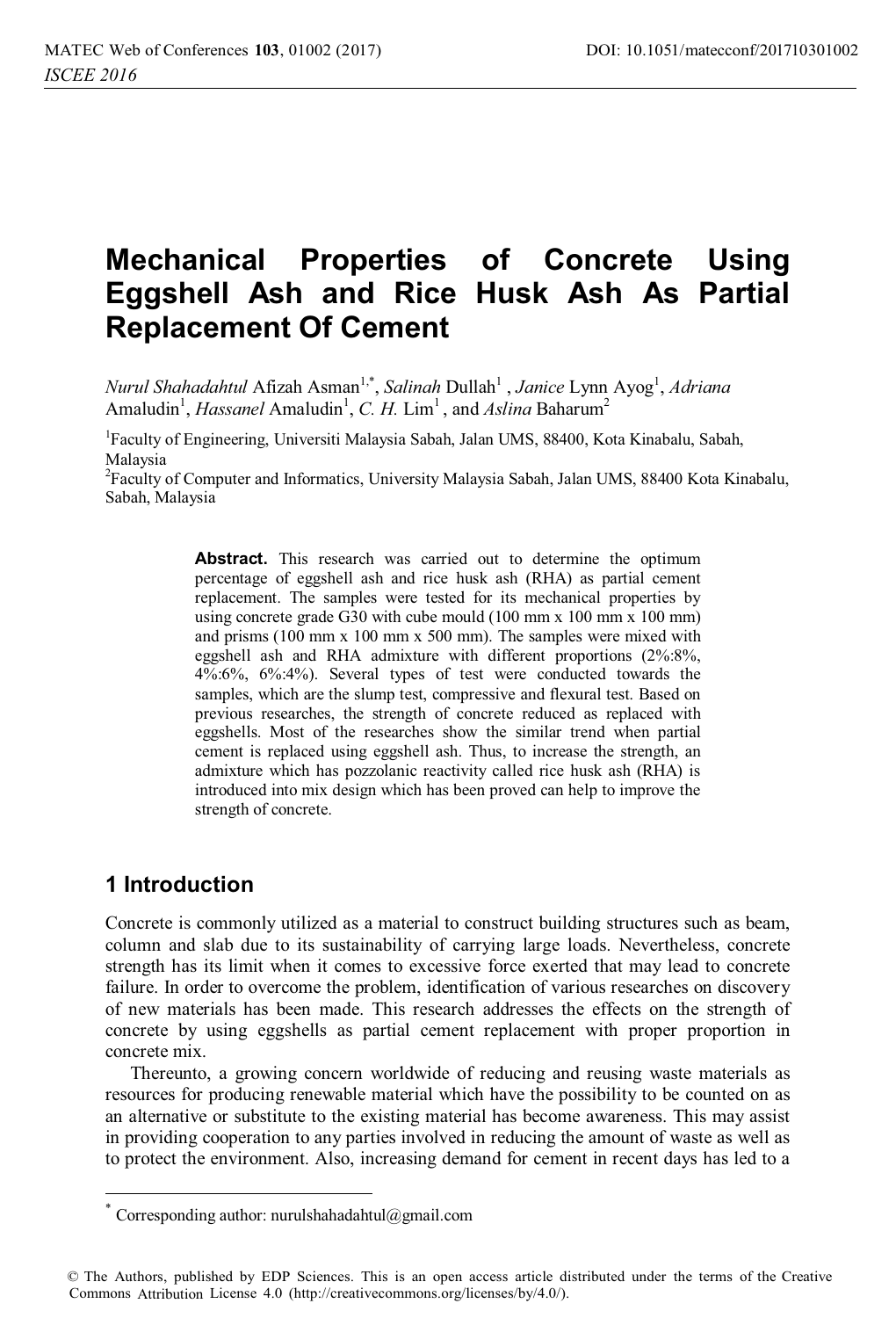# **Mechanical Properties of Concrete Using Eggshell Ash and Rice Husk Ash As Partial Replacement Of Cement**

 $Nurul\ Shahadahtul\ Afizah\ Asman<sup>1,*</sup>, *Salinah* Dullah<sup>1</sup>, *Janice* Lynn Ayog<sup>1</sup>, *Adriana*$ Amaludin<sup>1</sup>, *Hassanel* Amaludin<sup>1</sup>, C. H. Lim<sup>1</sup>, and *Aslina* Baharum<sup>2</sup>

1 Faculty of Engineering, Universiti Malaysia Sabah, Jalan UMS, 88400, Kota Kinabalu, Sabah, Malaysia

<sup>2</sup> Faculty of Computer and Informatics, University Malaysia Sabah, Jalan UMS, 88400 Kota Kinabalu, Sabah, Malaysia

> **Abstract.** This research was carried out to determine the optimum percentage of eggshell ash and rice husk ash (RHA) as partial cement replacement. The samples were tested for its mechanical properties by using concrete grade G30 with cube mould (100 mm x 100 mm x 100 mm) and prisms (100 mm x 100 mm x 500 mm). The samples were mixed with eggshell ash and RHA admixture with different proportions (2%:8%, 4%:6%, 6%:4%). Several types of test were conducted towards the samples, which are the slump test, compressive and flexural test. Based on previous researches, the strength of concrete reduced as replaced with eggshells. Most of the researches show the similar trend when partial cement is replaced using eggshell ash. Thus, to increase the strength, an admixture which has pozzolanic reactivity called rice husk ash (RHA) is introduced into mix design which has been proved can help to improve the strength of concrete.

# **1 Introduction**

 $\overline{a}$ 

Concrete is commonly utilized as a material to construct building structures such as beam, column and slab due to its sustainability of carrying large loads. Nevertheless, concrete strength has its limit when it comes to excessive force exerted that may lead to concrete failure. In order to overcome the problem, identification of various researches on discovery of new materials has been made. This research addresses the effects on the strength of concrete by using eggshells as partial cement replacement with proper proportion in concrete mix.

Thereunto, a growing concern worldwide of reducing and reusing waste materials as resources for producing renewable material which have the possibility to be counted on as an alternative or substitute to the existing material has become awareness. This may assist in providing cooperation to any parties involved in reducing the amount of waste as well as to protect the environment. Also, increasing demand for cement in recent days has led to a

Corresponding author: nurulshahadahtul@gmail.com

<sup>©</sup> The Authors, published by EDP Sciences. This is an open access article distributed under the terms of the Creative Commons Attribution License 4.0 (http://creativecommons.org/licenses/by/4.0/).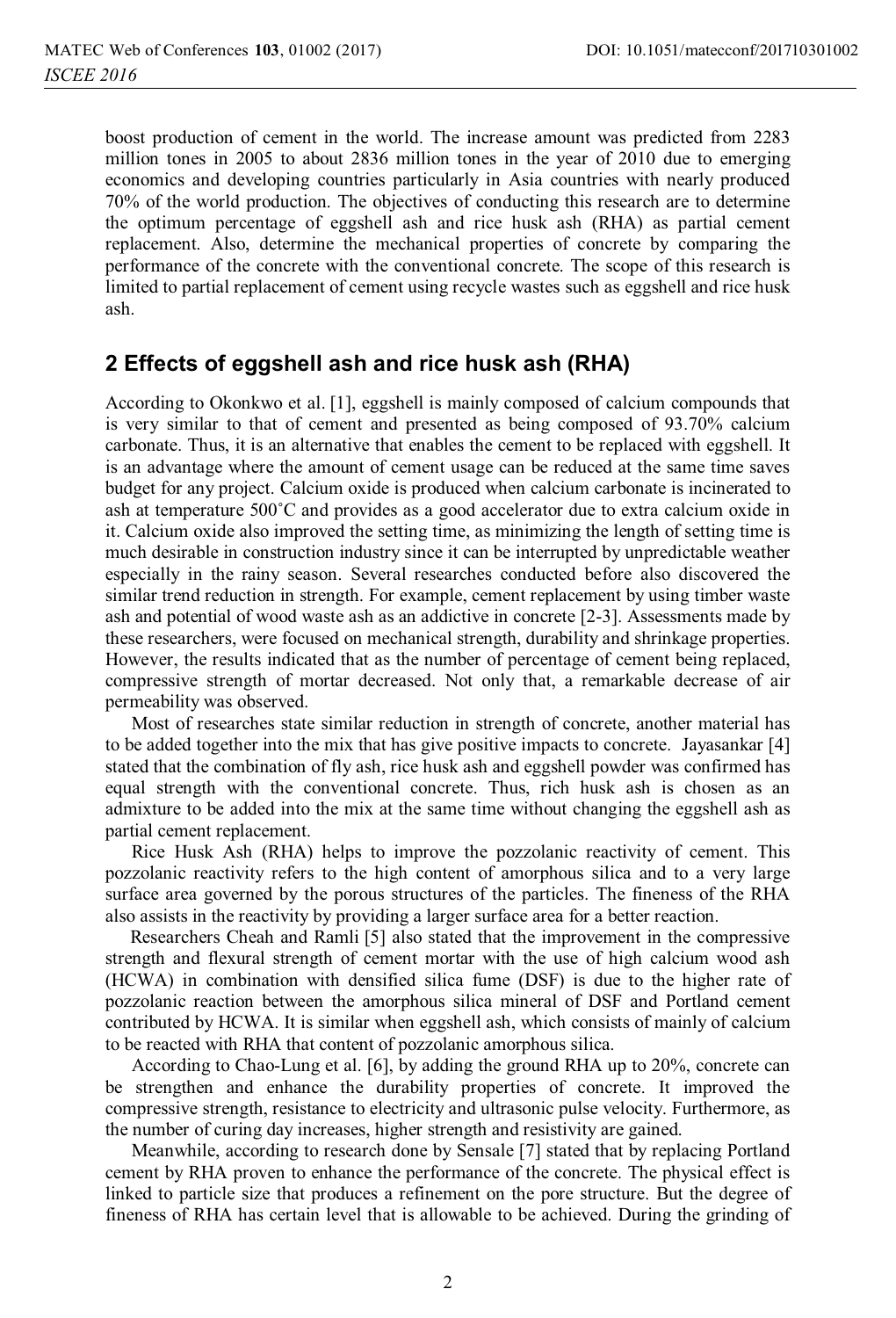boost production of cement in the world. The increase amount was predicted from 2283 million tones in 2005 to about 2836 million tones in the year of 2010 due to emerging economics and developing countries particularly in Asia countries with nearly produced 70% of the world production. The objectives of conducting this research are to determine the optimum percentage of eggshell ash and rice husk ash (RHA) as partial cement replacement. Also, determine the mechanical properties of concrete by comparing the performance of the concrete with the conventional concrete. The scope of this research is limited to partial replacement of cement using recycle wastes such as eggshell and rice husk ash.

# **2 Effects of eggshell ash and rice husk ash (RHA)**

According to Okonkwo et al. [1], eggshell is mainly composed of calcium compounds that is very similar to that of cement and presented as being composed of 93.70% calcium carbonate. Thus, it is an alternative that enables the cement to be replaced with eggshell. It is an advantage where the amount of cement usage can be reduced at the same time saves budget for any project. Calcium oxide is produced when calcium carbonate is incinerated to ash at temperature 500˚C and provides as a good accelerator due to extra calcium oxide in it. Calcium oxide also improved the setting time, as minimizing the length of setting time is much desirable in construction industry since it can be interrupted by unpredictable weather especially in the rainy season. Several researches conducted before also discovered the similar trend reduction in strength. For example, cement replacement by using timber waste ash and potential of wood waste ash as an addictive in concrete [2-3]. Assessments made by these researchers, were focused on mechanical strength, durability and shrinkage properties. However, the results indicated that as the number of percentage of cement being replaced, compressive strength of mortar decreased. Not only that, a remarkable decrease of air permeability was observed.

Most of researches state similar reduction in strength of concrete, another material has to be added together into the mix that has give positive impacts to concrete. Jayasankar [4] stated that the combination of fly ash, rice husk ash and eggshell powder was confirmed has equal strength with the conventional concrete. Thus, rich husk ash is chosen as an admixture to be added into the mix at the same time without changing the eggshell ash as partial cement replacement.

Rice Husk Ash (RHA) helps to improve the pozzolanic reactivity of cement. This pozzolanic reactivity refers to the high content of amorphous silica and to a very large surface area governed by the porous structures of the particles. The fineness of the RHA also assists in the reactivity by providing a larger surface area for a better reaction.

Researchers Cheah and Ramli [5] also stated that the improvement in the compressive strength and flexural strength of cement mortar with the use of high calcium wood ash (HCWA) in combination with densified silica fume (DSF) is due to the higher rate of pozzolanic reaction between the amorphous silica mineral of DSF and Portland cement contributed by HCWA. It is similar when eggshell ash, which consists of mainly of calcium to be reacted with RHA that content of pozzolanic amorphous silica.

According to Chao-Lung et al. [6], by adding the ground RHA up to 20%, concrete can be strengthen and enhance the durability properties of concrete. It improved the compressive strength, resistance to electricity and ultrasonic pulse velocity. Furthermore, as the number of curing day increases, higher strength and resistivity are gained.

Meanwhile, according to research done by Sensale [7] stated that by replacing Portland cement by RHA proven to enhance the performance of the concrete. The physical effect is linked to particle size that produces a refinement on the pore structure. But the degree of fineness of RHA has certain level that is allowable to be achieved. During the grinding of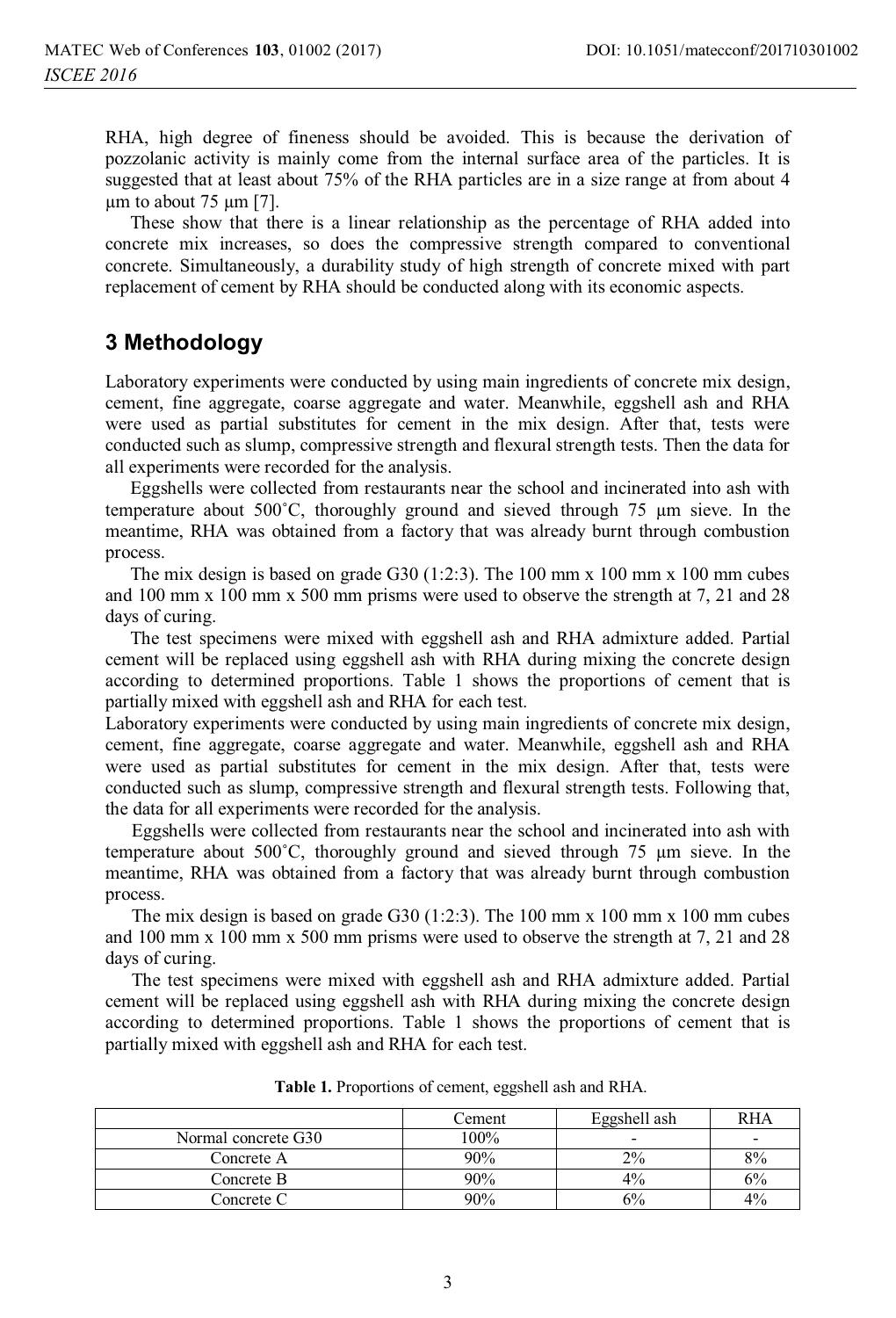RHA, high degree of fineness should be avoided. This is because the derivation of pozzolanic activity is mainly come from the internal surface area of the particles. It is suggested that at least about 75% of the RHA particles are in a size range at from about 4 μm to about 75 μm [7].

These show that there is a linear relationship as the percentage of RHA added into concrete mix increases, so does the compressive strength compared to conventional concrete. Simultaneously, a durability study of high strength of concrete mixed with part replacement of cement by RHA should be conducted along with its economic aspects.

# **3 Methodology**

Laboratory experiments were conducted by using main ingredients of concrete mix design, cement, fine aggregate, coarse aggregate and water. Meanwhile, eggshell ash and RHA were used as partial substitutes for cement in the mix design. After that, tests were conducted such as slump, compressive strength and flexural strength tests. Then the data for all experiments were recorded for the analysis.

Eggshells were collected from restaurants near the school and incinerated into ash with temperature about 500˚C, thoroughly ground and sieved through 75 μm sieve. In the meantime, RHA was obtained from a factory that was already burnt through combustion process.

The mix design is based on grade  $G_30$  (1:2:3). The 100 mm x 100 mm x 100 mm cubes and 100 mm x 100 mm x 500 mm prisms were used to observe the strength at 7, 21 and 28 days of curing.

The test specimens were mixed with eggshell ash and RHA admixture added. Partial cement will be replaced using eggshell ash with RHA during mixing the concrete design according to determined proportions. Table 1 shows the proportions of cement that is partially mixed with eggshell ash and RHA for each test.

Laboratory experiments were conducted by using main ingredients of concrete mix design, cement, fine aggregate, coarse aggregate and water. Meanwhile, eggshell ash and RHA were used as partial substitutes for cement in the mix design. After that, tests were conducted such as slump, compressive strength and flexural strength tests. Following that, the data for all experiments were recorded for the analysis.

Eggshells were collected from restaurants near the school and incinerated into ash with temperature about 500˚C, thoroughly ground and sieved through 75 μm sieve. In the meantime, RHA was obtained from a factory that was already burnt through combustion process.

The mix design is based on grade  $G30$  (1:2:3). The 100 mm x 100 mm x 100 mm cubes and 100 mm x 100 mm x 500 mm prisms were used to observe the strength at 7, 21 and 28 days of curing.

The test specimens were mixed with eggshell ash and RHA admixture added. Partial cement will be replaced using eggshell ash with RHA during mixing the concrete design according to determined proportions. Table 1 shows the proportions of cement that is partially mixed with eggshell ash and RHA for each test.

|                     | Cement | Eggshell ash | RHA                      |
|---------------------|--------|--------------|--------------------------|
| Normal concrete G30 | 100%   | -            | $\overline{\phantom{0}}$ |
| Concrete A          | 90%    | $2\%$        | 8%                       |
| Concrete B          | 90%    | $4\%$        | 6%                       |
| Concrete C          | 90%    | 6%           | 4%                       |

**Table 1.** Proportions of cement, eggshell ash and RHA.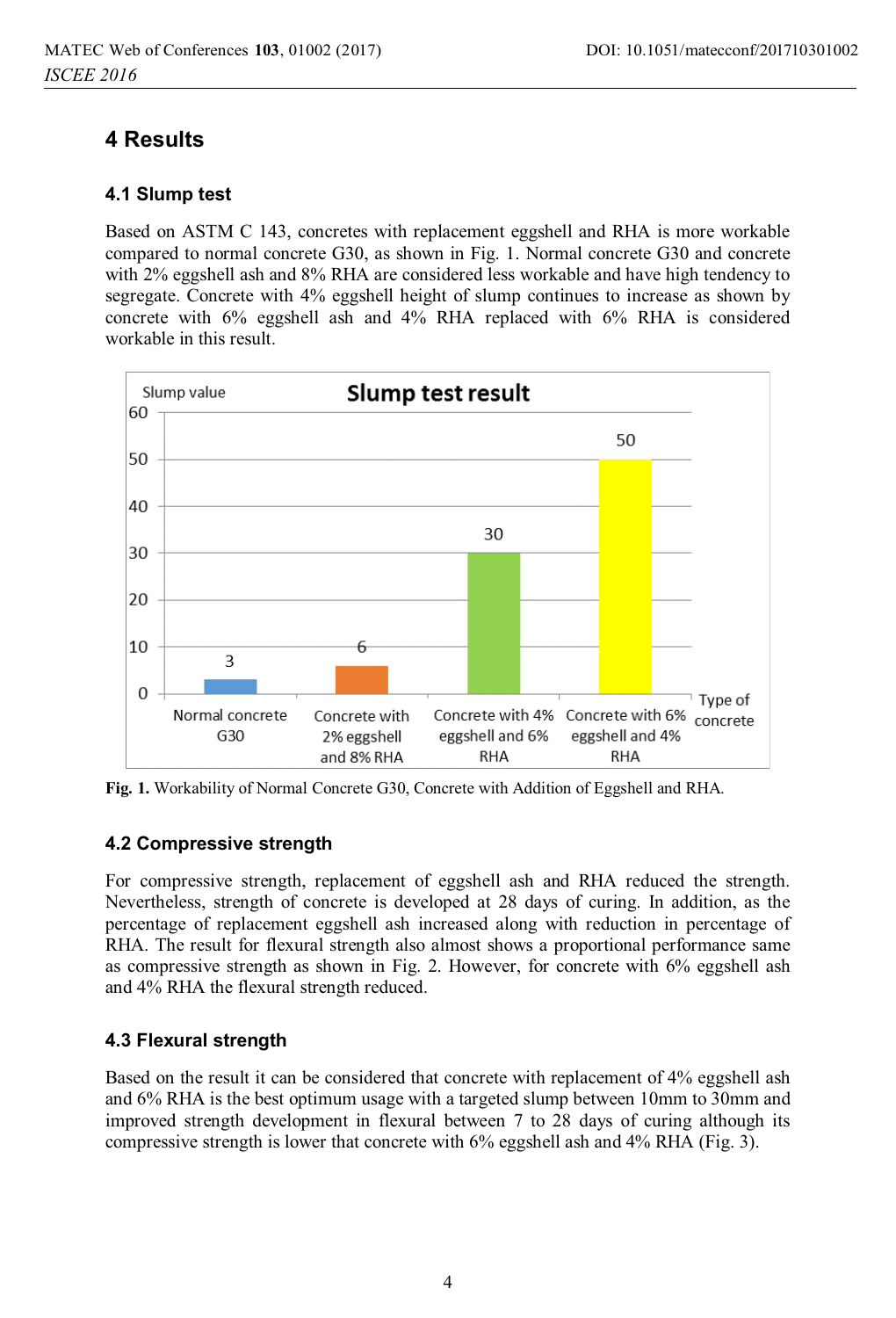# **4 Results**

#### **4.1 Slump test**

Based on ASTM C 143, concretes with replacement eggshell and RHA is more workable compared to normal concrete G30, as shown in Fig. 1. Normal concrete G30 and concrete with 2% eggshell ash and 8% RHA are considered less workable and have high tendency to segregate. Concrete with 4% eggshell height of slump continues to increase as shown by concrete with 6% eggshell ash and 4% RHA replaced with 6% RHA is considered workable in this result.



**Fig. 1.** Workability of Normal Concrete G30, Concrete with Addition of Eggshell and RHA.

#### **4.2 Compressive strength**

For compressive strength, replacement of eggshell ash and RHA reduced the strength. Nevertheless, strength of concrete is developed at 28 days of curing. In addition, as the percentage of replacement eggshell ash increased along with reduction in percentage of RHA. The result for flexural strength also almost shows a proportional performance same as compressive strength as shown in Fig. 2. However, for concrete with 6% eggshell ash and 4% RHA the flexural strength reduced.

### **4.3 Flexural strength**

Based on the result it can be considered that concrete with replacement of 4% eggshell ash and 6% RHA is the best optimum usage with a targeted slump between 10mm to 30mm and improved strength development in flexural between 7 to 28 days of curing although its compressive strength is lower that concrete with 6% eggshell ash and 4% RHA (Fig. 3).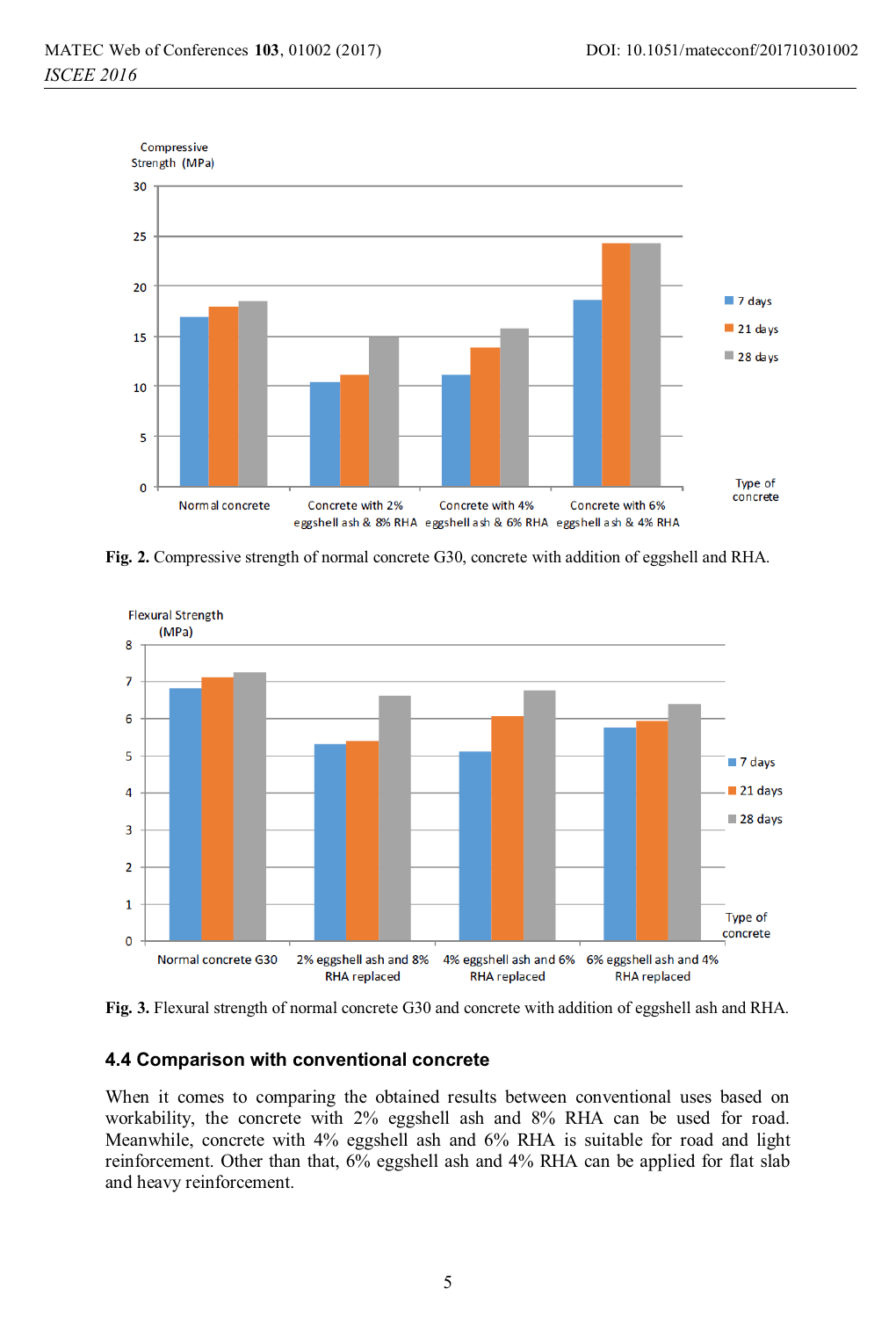

**Fig. 2.** Compressive strength of normal concrete G30, concrete with addition of eggshell and RHA.





#### **4.4 Comparison with conventional concrete**

When it comes to comparing the obtained results between conventional uses based on workability, the concrete with 2% eggshell ash and 8% RHA can be used for road. Meanwhile, concrete with 4% eggshell ash and 6% RHA is suitable for road and light reinforcement. Other than that, 6% eggshell ash and 4% RHA can be applied for flat slab and heavy reinforcement.